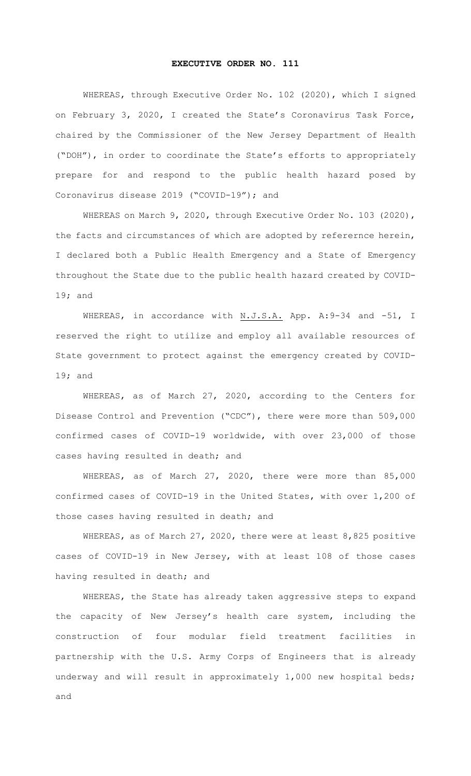## EXECUTIVE ORDER NO. 111

WHEREAS, through Executive Order No. 102 (2020), which I signed on February 3, 2020, I created the State's Coronavirus Task Force, chaired by the Commissioner of the New Jersey Department of Health ("DOH"), in order to coordinate the State's efforts to appropriately prepare for and respond to the public health hazard posed by Coronavirus disease 2019 ("COVID-19"); and

WHEREAS on March 9, 2020, through Executive Order No. 103 (2020), the facts and circumstances of which are adopted by referernce herein, I declared both a Public Health Emergency and a State of Emergency throughout the State due to the public health hazard created by COVID-19; and

WHEREAS, in accordance with N.J.S.A. App. A:9-34 and -51, I reserved the right to utilize and employ all available resources of State government to protect against the emergency created by COVID-19; and

WHEREAS, as of March 27, 2020, according to the Centers for Disease Control and Prevention ("CDC"), there were more than 509,000 confirmed cases of COVID-19 worldwide, with over 23,000 of those cases having resulted in death; and

WHEREAS, as of March 27, 2020, there were more than 85,000 confirmed cases of COVID-19 in the United States, with over 1,200 of those cases having resulted in death; and

WHEREAS, as of March 27, 2020, there were at least 8,825 positive cases of COVID-19 in New Jersey, with at least 108 of those cases having resulted in death; and

WHEREAS, the State has already taken aggressive steps to expand the capacity of New Jersey's health care system, including the construction of four modular field treatment facilities in partnership with the U.S. Army Corps of Engineers that is already underway and will result in approximately 1,000 new hospital beds; and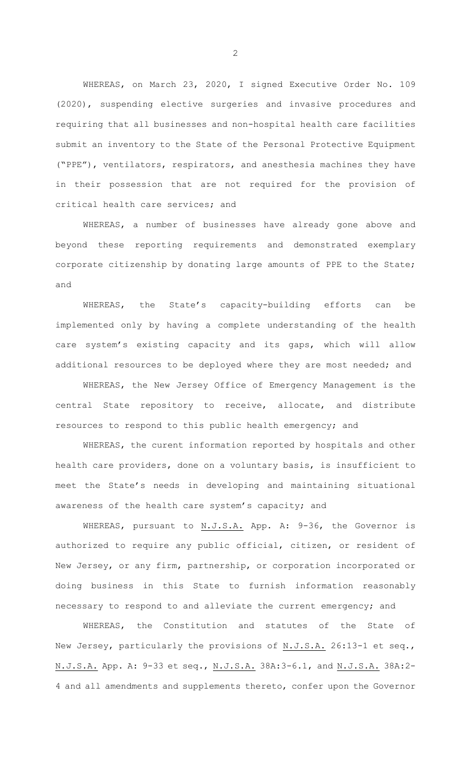WHEREAS, on March 23, 2020, I signed Executive Order No. 109 (2020), suspending elective surgeries and invasive procedures and requiring that all businesses and non-hospital health care facilities submit an inventory to the State of the Personal Protective Equipment ("PPE"), ventilators, respirators, and anesthesia machines they have in their possession that are not required for the provision of critical health care services; and

WHEREAS, a number of businesses have already gone above and beyond these reporting requirements and demonstrated exemplary corporate citizenship by donating large amounts of PPE to the State; and

WHEREAS, the State's capacity-building efforts can be implemented only by having a complete understanding of the health care system's existing capacity and its gaps, which will allow additional resources to be deployed where they are most needed; and

WHEREAS, the New Jersey Office of Emergency Management is the central State repository to receive, allocate, and distribute resources to respond to this public health emergency; and

WHEREAS, the curent information reported by hospitals and other health care providers, done on a voluntary basis, is insufficient to meet the State's needs in developing and maintaining situational awareness of the health care system's capacity; and

WHEREAS, pursuant to N.J.S.A. App. A: 9-36, the Governor is authorized to require any public official, citizen, or resident of New Jersey, or any firm, partnership, or corporation incorporated or doing business in this State to furnish information reasonably necessary to respond to and alleviate the current emergency; and

WHEREAS, the Constitution and statutes of the State of New Jersey, particularly the provisions of N.J.S.A. 26:13-1 et seq., N.J.S.A. App. A: 9-33 et seq., N.J.S.A. 38A:3-6.1, and N.J.S.A. 38A:2- 4 and all amendments and supplements thereto, confer upon the Governor

2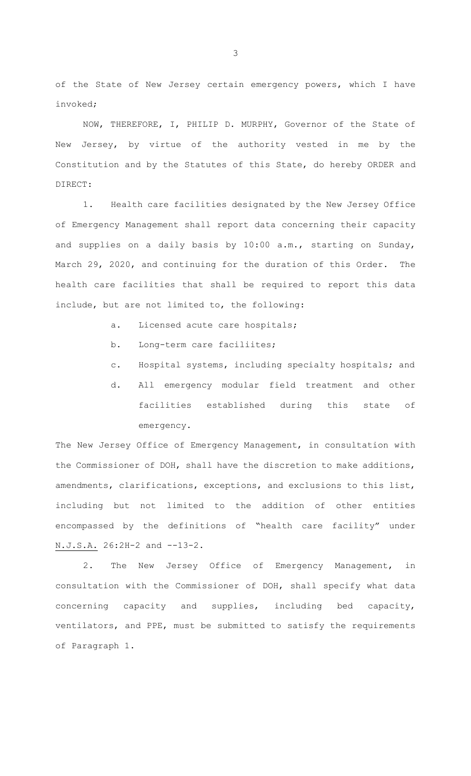of the State of New Jersey certain emergency powers, which I have invoked;

NOW, THEREFORE, I, PHILIP D. MURPHY, Governor of the State of New Jersey, by virtue of the authority vested in me by the Constitution and by the Statutes of this State, do hereby ORDER and DIRECT:

1. Health care facilities designated by the New Jersey Office of Emergency Management shall report data concerning their capacity and supplies on a daily basis by 10:00 a.m., starting on Sunday, March 29, 2020, and continuing for the duration of this Order. The health care facilities that shall be required to report this data include, but are not limited to, the following:

- a. Licensed acute care hospitals;
- b. Long-term care faciliites;
- c. Hospital systems, including specialty hospitals; and
- d. All emergency modular field treatment and other facilities established during this state of emergency.

The New Jersey Office of Emergency Management, in consultation with the Commissioner of DOH, shall have the discretion to make additions, amendments, clarifications, exceptions, and exclusions to this list, including but not limited to the addition of other entities encompassed by the definitions of "health care facility" under N.J.S.A. 26:2H-2 and --13-2.

2. The New Jersey Office of Emergency Management, in consultation with the Commissioner of DOH, shall specify what data concerning capacity and supplies, including bed capacity, ventilators, and PPE, must be submitted to satisfy the requirements of Paragraph 1.

3